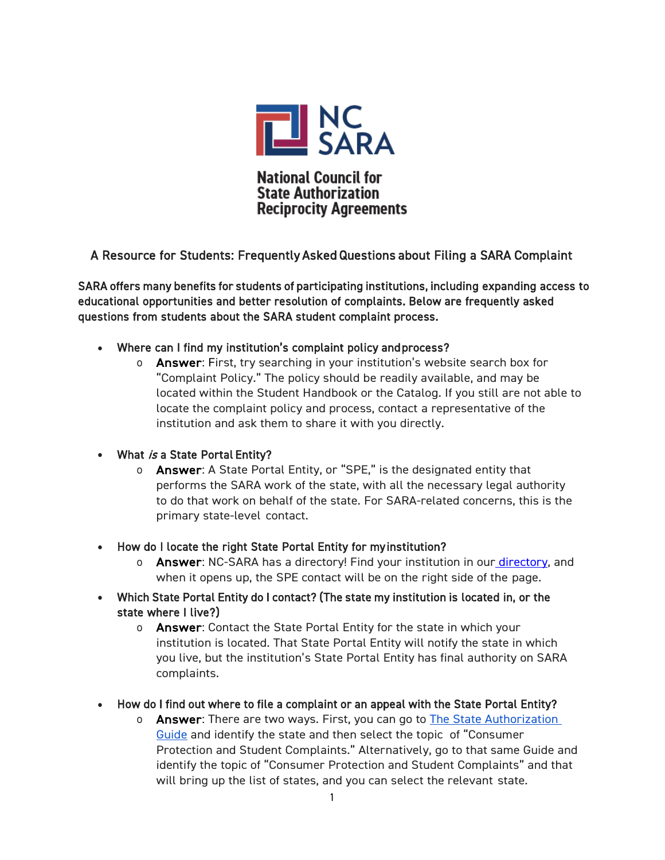

**National Council for State Authorization Reciprocity Agreements** 

A Resource for Students: Frequently Asked Questions about Filing a SARA Complaint

SARA offers many benefits for students of participating institutions, including expanding access to educational opportunities and better resolution of complaints. Below are frequently asked questions from students about the SARA student complaint process.

- Where can I find my institution's complaint policy and process?
	- o Answer: First, try searching in your institution's website search box for "Complaint Policy." The policy should be readily available, and may be located within the Student Handbook or the Catalog. If you still are not able to locate the complaint policy and process, contact a representative of the institution and ask them to share it with you directly.
- What is a State Portal Entity?
	- o Answer: A State Portal Entity, or "SPE," is the designated entity that performs the SARA work of the state, with all the necessary legal authority to do that work on behalf of the state. For SARA-related concerns, this is the primary state-level contact.
- How do I locate the right State Portal Entity for my institution?
	- o Answer: NC-SARA has a directory! Find your institution in our [directory, a](https://www.nc-sara.org/directory)nd when it opens up, the SPE contact will be on the right side of the page.
- Which State Portal Entity do I contact? (The state my institution is located in, or the state where I live?)
	- o Answer: Contact the State Portal Entity for the state in which your institution is located. That State Portal Entity will notify the state in which you live, but the institution's State Portal Entity has final authority on SARA complaints.
- How do I find out where to file a complaint or an appeal with the State Portal Entity?
	- o Answer: There are two ways. First, you can go to [The State](https://nc-sara.org/guide/state-authorization-guide) [Authorization](https://nc-sara.org/guide/state-authorization-guide)  [Guide](https://nc-sara.org/guide/state-authorization-guide) and identify the state and then select the topic of "Consumer Protection and Student Complaints." Alternatively, go to that same Guide and identify the topic of "Consumer Protection and Student Complaints" and that will bring up the list of states, and you can select the relevant state.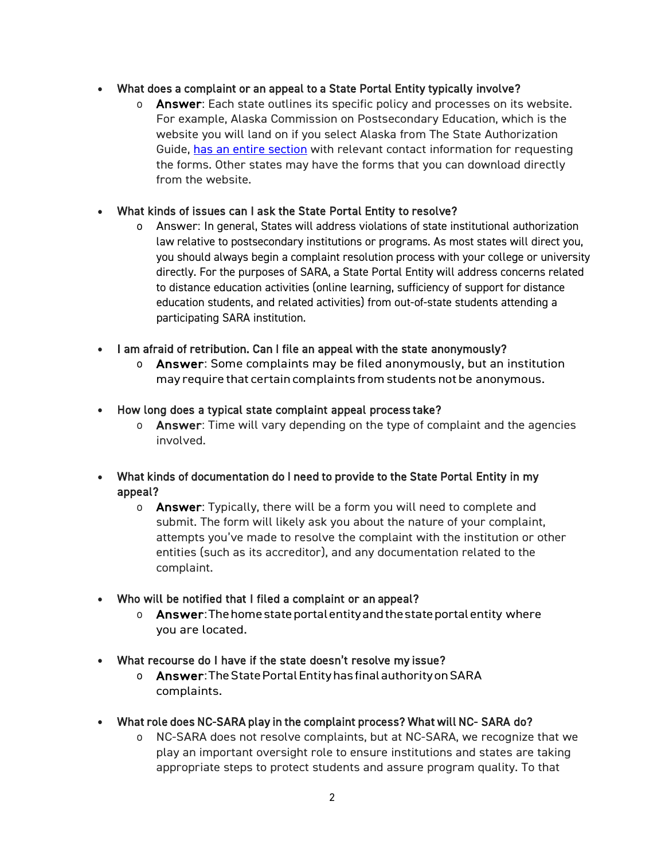## • What does a complaint or an appeal to a State Portal Entity typically involve?

o **Answer**: Each state outlines its specific policy and processes on its website. For example, Alaska Commission on Postsecondary Education, which is the website you will land on if you select Alaska from The State Authorization Guide, [has an entire section](https://nc-sara.org/guide/topic-search?topics=63) with relevant contact information for requesting the forms. Other states may have the forms that you can download directly from the website.

## • What kinds of issues can I ask the State Portal Entity to resolve?

o Answer: In general, States will address violations of state institutional authorization law relative to postsecondary institutions or programs. As most states will direct you, you should always begin a complaint resolution process with your college or university directly. For the purposes of SARA, a State Portal Entity will address concerns related to distance education activities (online learning, sufficiency of support for distance education students, and related activities) from out-of-state students attending a participating SARA institution.

## • I am afraid of retribution. Can I file an appeal with the state anonymously?

- o Answer: Some complaints may be filed anonymously, but an institution may require that certain complaints from students not be anonymous.
- How long does a typical state complaint appeal process take?
	- o Answer: Time will vary depending on the type of complaint and the agencies involved.
- What kinds of documentation do I need to provide to the State Portal Entity in my appeal?
	- o **Answer:** Typically, there will be a form you will need to complete and submit. The form will likely ask you about the nature of your complaint, attempts you've made to resolve the complaint with the institution or other entities (such as its accreditor), and any documentation related to the complaint.
- Who will be notified that I filed a complaint or an appeal?
	- o Answer: The home state portal entity and the state portal entity where you are located.
- What recourse do I have if the state doesn't resolve my issue?
	- o Answer:TheStatePortalEntityhasfinalauthorityonSARA complaints.
- What role does NC-SARA play in the complaint process? What will NC- SARA do?
	- o NC-SARA does not resolve complaints, but at NC-SARA, we recognize that we play an important oversight role to ensure institutions and states are taking appropriate steps to protect students and assure program quality. To that